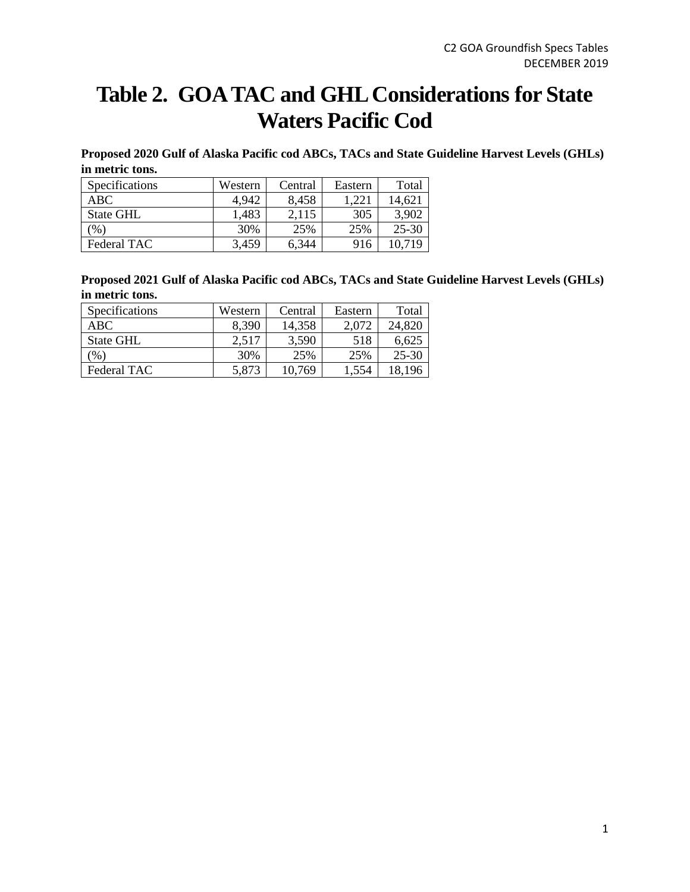## **Table 2. GOA TAC and GHL Considerations for State Waters Pacific Cod**

**Proposed 2020 Gulf of Alaska Pacific cod ABCs, TACs and State Guideline Harvest Levels (GHLs) in metric tons.**

| <b>Specifications</b> | Western | Central | Eastern | Total     |
|-----------------------|---------|---------|---------|-----------|
| ABC                   | 4,942   | 8,458   | 1.221   | 14.621    |
| <b>State GHL</b>      | 1,483   | 2.115   | 305     | 3,902     |
| $\frac{9}{0}$         | 30%     | 25%     | 25%     | $25 - 30$ |
| Federal TAC           | 3,459   | 6,344   | 916     | 10.719    |

**Proposed 2021 Gulf of Alaska Pacific cod ABCs, TACs and State Guideline Harvest Levels (GHLs) in metric tons.**

| <b>Specifications</b> | Western | Central | Eastern | Total     |
|-----------------------|---------|---------|---------|-----------|
| ABC.                  | 8,390   | 14,358  | 2,072   | 24,820    |
| State GHL             | 2.517   | 3,590   | 518     | 6.625     |
| $\mathcal{O}_0$       | 30%     | 25%     | 25%     | $25 - 30$ |
| Federal TAC           | 5,873   | 10.769  | 1,554   | 18.196    |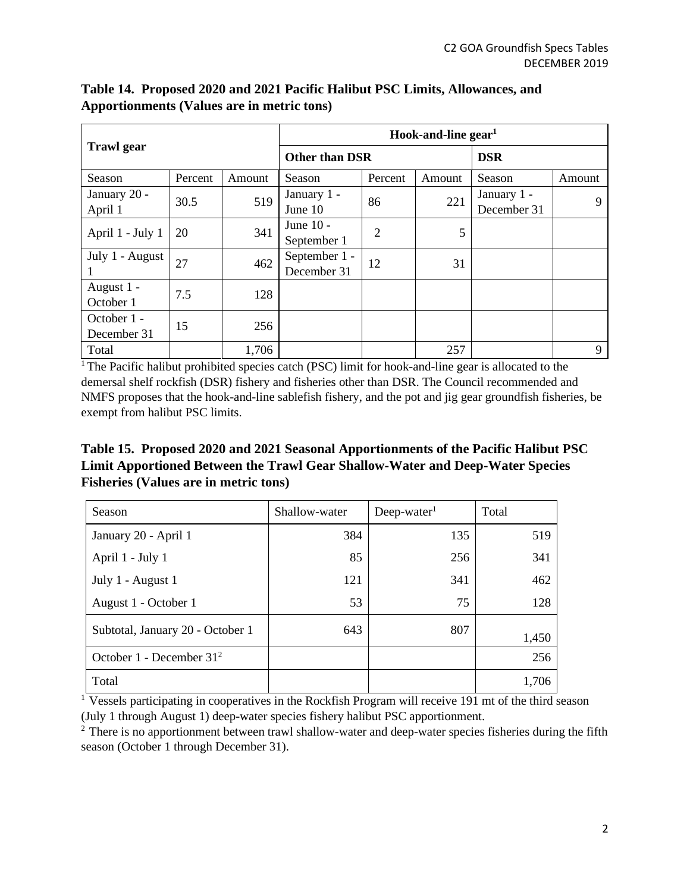|                            |         | Hook-and-line $gen1$ |                              |                |        |                            |        |
|----------------------------|---------|----------------------|------------------------------|----------------|--------|----------------------------|--------|
| <b>Trawl</b> gear          |         |                      | <b>Other than DSR</b>        |                |        | <b>DSR</b>                 |        |
| Season                     | Percent | Amount               | Season                       | Percent        | Amount | Season                     | Amount |
| January 20 -<br>April 1    | 30.5    | 519                  | January 1 -<br>June 10       | 86             | 221    | January 1 -<br>December 31 | 9      |
| April 1 - July 1           | 20      | 341                  | June $10 -$<br>September 1   | $\overline{2}$ | 5      |                            |        |
| July 1 - August            | 27      | 462                  | September 1 -<br>December 31 | 12             | 31     |                            |        |
| August 1 -<br>October 1    | 7.5     | 128                  |                              |                |        |                            |        |
| October 1 -<br>December 31 | 15      | 256                  |                              |                |        |                            |        |
| Total                      |         | 1,706                |                              |                | 257    |                            | 9      |

**Table 14. Proposed 2020 and 2021 Pacific Halibut PSC Limits, Allowances, and Apportionments (Values are in metric tons)**

 $1$ <sup>T</sup>he Pacific halibut prohibited species catch (PSC) limit for hook-and-line gear is allocated to the demersal shelf rockfish (DSR) fishery and fisheries other than DSR. The Council recommended and NMFS proposes that the hook-and-line sablefish fishery, and the pot and jig gear groundfish fisheries, be exempt from halibut PSC limits.

**Table 15. Proposed 2020 and 2021 Seasonal Apportionments of the Pacific Halibut PSC Limit Apportioned Between the Trawl Gear Shallow-Water and Deep-Water Species Fisheries (Values are in metric tons)**

| Season                           | Shallow-water | $Deep-water1$ | Total |
|----------------------------------|---------------|---------------|-------|
| January 20 - April 1             | 384           | 135           | 519   |
| April 1 - July 1                 | 85            | 256           | 341   |
| July 1 - August 1                | 121           | 341           | 462   |
| August 1 - October 1             | 53            | 75            | 128   |
| Subtotal, January 20 - October 1 | 643           | 807           | 1,450 |
| October 1 - December $312$       |               |               | 256   |
| Total                            |               |               | 1,706 |

<sup>1</sup> Vessels participating in cooperatives in the Rockfish Program will receive 191 mt of the third season (July 1 through August 1) deep-water species fishery halibut PSC apportionment.

<sup>2</sup> There is no apportionment between trawl shallow-water and deep-water species fisheries during the fifth season (October 1 through December 31).